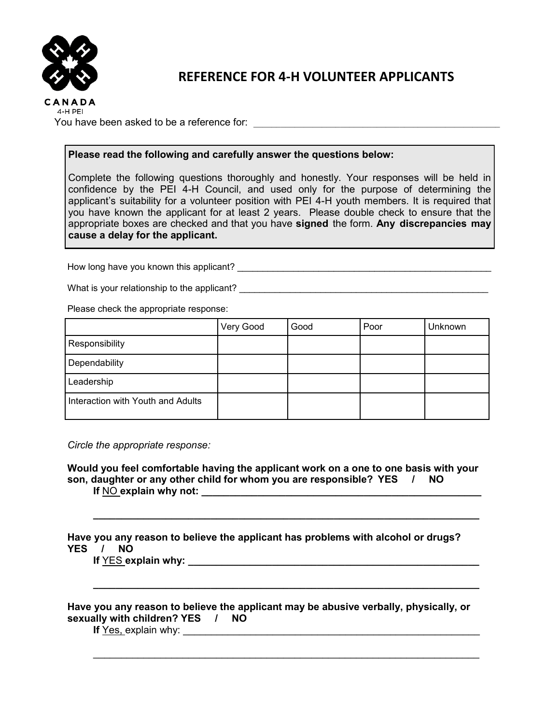

## **REFERENCE FOR 4-H VOLUNTEER APPLICANTS**

You have been asked to be a reference for:  $\blacksquare$ 

## **Please read the following and carefully answer the questions below:**

Complete the following questions thoroughly and honestly. Your responses will be held in confidence by the PEI 4-H Council, and used only for the purpose of determining the applicant's suitability for a volunteer position with PEI 4-H youth members. It is required that you have known the applicant for at least 2 years. Please double check to ensure that the appropriate boxes are checked and that you have **signed** the form. **Any discrepancies may cause a delay for the applicant.**

How long have you known this applicant?

What is your relationship to the applicant?

Please check the appropriate response:

|                                   | Very Good | Good | Poor | <b>Unknown</b> |
|-----------------------------------|-----------|------|------|----------------|
| Responsibility                    |           |      |      |                |
| Dependability                     |           |      |      |                |
| Leadership                        |           |      |      |                |
| Interaction with Youth and Adults |           |      |      |                |

*Circle the appropriate response:*

**Would you feel comfortable having the applicant work on a one to one basis with your son, daughter or any other child for whom you are responsible? YES / NO If NO explain why not:** 

**\_\_\_\_\_\_\_\_\_\_\_\_\_\_\_\_\_\_\_\_\_\_\_\_\_\_\_\_\_\_\_\_\_\_\_\_\_\_\_\_\_\_\_\_\_\_\_\_\_\_\_\_\_\_\_\_\_\_\_\_\_\_\_\_\_\_\_\_\_**

**\_\_\_\_\_\_\_\_\_\_\_\_\_\_\_\_\_\_\_\_\_\_\_\_\_\_\_\_\_\_\_\_\_\_\_\_\_\_\_\_\_\_\_\_\_\_\_\_\_\_\_\_\_\_\_\_\_\_\_\_\_\_\_\_\_\_\_\_\_**

\_\_\_\_\_\_\_\_\_\_\_\_\_\_\_\_\_\_\_\_\_\_\_\_\_\_\_\_\_\_\_\_\_\_\_\_\_\_\_\_\_\_\_\_\_\_\_\_\_\_\_\_\_\_\_\_\_\_\_\_\_\_\_\_\_\_\_\_\_

**Have you any reason to believe the applicant has problems with alcohol or drugs? YES / NO**

**If** YES **explain why: \_\_\_\_\_\_\_\_\_\_\_\_\_\_\_\_\_\_\_\_\_\_\_\_\_\_\_\_\_\_\_\_\_\_\_\_\_\_\_\_\_\_\_\_\_\_\_\_\_\_\_\_**

**Have you any reason to believe the applicant may be abusive verbally, physically, or sexually with children? YES / NO**

**If** Yes, explain why: \_\_\_\_\_\_\_\_\_\_\_\_\_\_\_\_\_\_\_\_\_\_\_\_\_\_\_\_\_\_\_\_\_\_\_\_\_\_\_\_\_\_\_\_\_\_\_\_\_\_\_\_\_